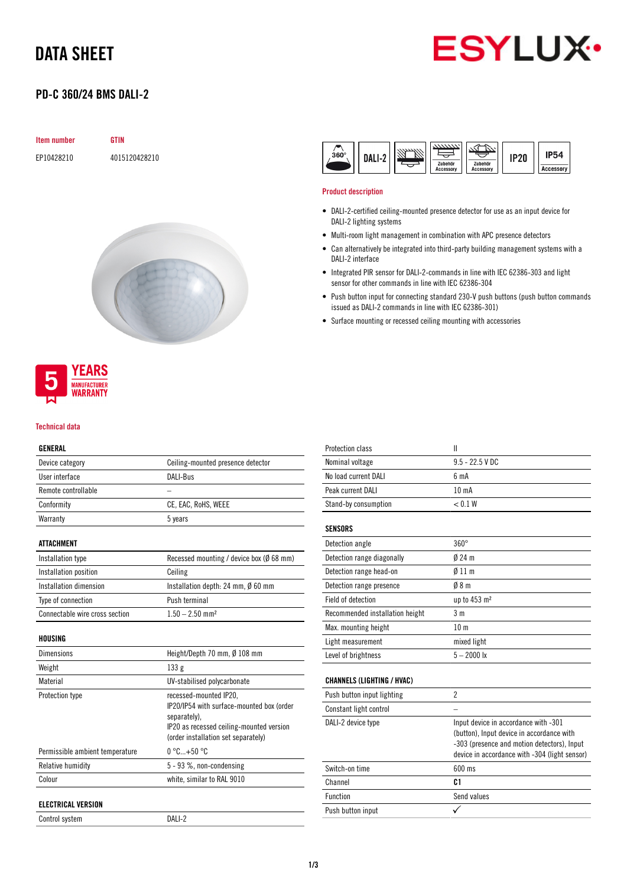## DATA SHEET



## PD-C 360/24 BMS DALI-2

| <b>Item number</b> | <b>GTIN</b>   |
|--------------------|---------------|
| EP10428210         | 4015120428210 |



## **YEARS MANUFACTURER** *NARRANTY*

#### Technical data

### GENERAL

| Device category       | Ceiling-mounted presence detector        |
|-----------------------|------------------------------------------|
| User interface        | DALI-Bus                                 |
| Remote controllable   |                                          |
| Conformity            | CE, EAC, RoHS, WEEE                      |
| Warranty              | 5 years                                  |
|                       |                                          |
| ATTACHMENT            |                                          |
| Installation type     | Recessed mounting / device box (Ø 68 mm) |
| Installation nosition | Ceiling                                  |

| <b><i>INSTRUMENTED DUSTLION</i></b> | <b>VUILLE</b>                      |  |
|-------------------------------------|------------------------------------|--|
| Installation dimension              | Installation depth: 24 mm, Ø 60 mm |  |
| Type of connection                  | Push terminal                      |  |
| Connectable wire cross section      | $1.50 - 2.50$ mm <sup>2</sup>      |  |
|                                     |                                    |  |

### HOUSING

| <b>Dimensions</b>               | Height/Depth 70 mm, $\emptyset$ 108 mm                                                                                                                                 |
|---------------------------------|------------------------------------------------------------------------------------------------------------------------------------------------------------------------|
| Weight                          | 133g                                                                                                                                                                   |
| Material                        | UV-stabilised polycarbonate                                                                                                                                            |
| Protection type                 | recessed-mounted IP20,<br>IP20/IP54 with surface-mounted box (order<br>separately).<br>IP20 as recessed ceiling-mounted version<br>(order installation set separately) |
| Permissible ambient temperature | $0^{\circ}$ C+50 $^{\circ}$ C                                                                                                                                          |
| Relative humidity               | $5 - 93$ %, non-condensing                                                                                                                                             |
| Colour                          | white, similar to RAL 9010                                                                                                                                             |
| <b>ELECTRICAL VERSION</b>       |                                                                                                                                                                        |

Control system DALI-2



#### Product description

- DALI-2-certified ceiling-mounted presence detector for use as an input device for DALI-2 lighting systems
- Multi-room light management in combination with APC presence detectors
- Can alternatively be integrated into third-party building management systems with a DALI-2 interface
- Integrated PIR sensor for DALI-2-commands in line with IEC 62386-303 and light sensor for other commands in line with IEC 62386-304
- Push button input for connecting standard 230-V push buttons (push button commands issued as DALI-2 commands in line with IEC 62386-301)
- Surface mounting or recessed ceiling mounting with accessories

| Protection class                  | $\mathbf{I}$                                                                                                                                                                      |
|-----------------------------------|-----------------------------------------------------------------------------------------------------------------------------------------------------------------------------------|
| Nominal voltage                   | $9.5 - 22.5$ V DC                                                                                                                                                                 |
| No load current DALI              | 6 <sub>m</sub> A                                                                                                                                                                  |
| Peak current DALI                 | 10 <sub>m</sub> A                                                                                                                                                                 |
| Stand-by consumption              | < 0.1 W                                                                                                                                                                           |
| <b>SENSORS</b>                    |                                                                                                                                                                                   |
| Detection angle                   | $360^\circ$                                                                                                                                                                       |
| Detection range diagonally        | $024 \text{ m}$                                                                                                                                                                   |
| Detection range head-on           | 011 <sub>m</sub>                                                                                                                                                                  |
| Detection range presence          | 08 <sub>m</sub>                                                                                                                                                                   |
| Field of detection                | up to 453 m <sup>2</sup>                                                                                                                                                          |
| Recommended installation height   | 3 <sub>m</sub>                                                                                                                                                                    |
| Max. mounting height              | 10 <sub>m</sub>                                                                                                                                                                   |
| Light measurement                 | mixed light                                                                                                                                                                       |
| Level of brightness               | $5 - 2000$ lx                                                                                                                                                                     |
| <b>CHANNELS (LIGHTING / HVAC)</b> |                                                                                                                                                                                   |
| Push button input lighting        | $\overline{2}$                                                                                                                                                                    |
| Constant light control            |                                                                                                                                                                                   |
| DALI-2 device type                | Input device in accordance with -301<br>(button), Input device in accordance with<br>-303 (presence and motion detectors), Input<br>device in accordance with -304 (light sensor) |
| Switch-on time                    | 600 ms                                                                                                                                                                            |
| Channel                           | C <sub>1</sub>                                                                                                                                                                    |
| Function                          | Send values                                                                                                                                                                       |
| Push button input                 |                                                                                                                                                                                   |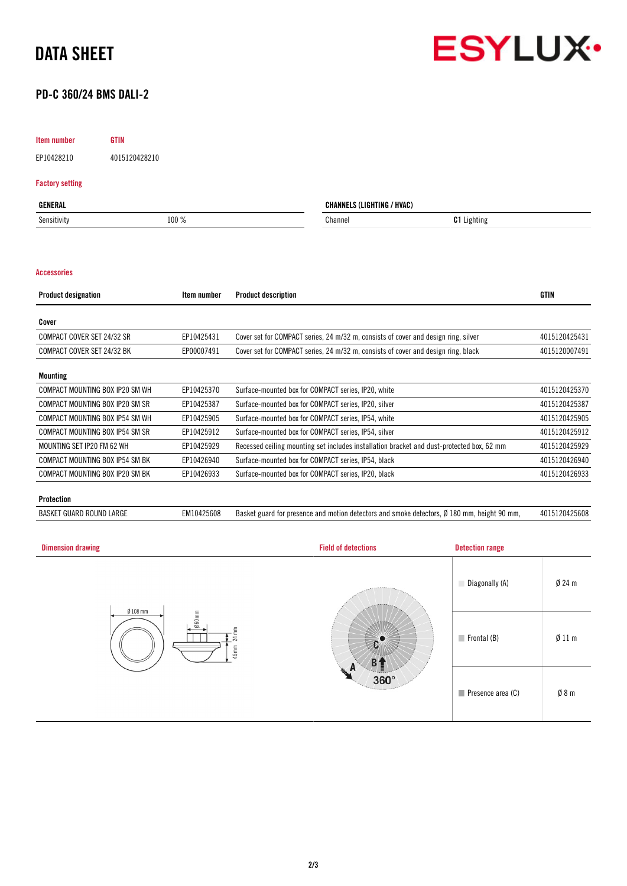



## PD-C 360/24 BMS DALI-2

## Item number GTIN

EP10428210 4015120428210

## Factory setting

| <b>GENERAL</b> |       | <b>CHANNELS (LIGHTING / HVAC)</b> |                    |
|----------------|-------|-----------------------------------|--------------------|
| Sensitivity    | 100 % | Channer                           | <b>C1</b> Lighting |
|                |       |                                   |                    |

#### Accessories

| <b>Product designation</b>      | Item number | <b>Product description</b>                                                                | <b>GTIN</b>   |
|---------------------------------|-------------|-------------------------------------------------------------------------------------------|---------------|
| Cover                           |             |                                                                                           |               |
| COMPACT COVER SET 24/32 SR      | EP10425431  | Cover set for COMPACT series, 24 m/32 m, consists of cover and design ring, silver        | 4015120425431 |
| COMPACT COVER SET 24/32 BK      | EP00007491  | Cover set for COMPACT series, 24 m/32 m, consists of cover and design ring, black         | 4015120007491 |
| Mounting                        |             |                                                                                           |               |
| COMPACT MOUNTING BOX IP20 SM WH | EP10425370  | Surface-mounted box for COMPACT series, IP20, white                                       | 4015120425370 |
| COMPACT MOUNTING BOX IP20 SM SR | EP10425387  | Surface-mounted box for COMPACT series, IP20, silver                                      | 4015120425387 |
| COMPACT MOUNTING BOX IP54 SM WH | EP10425905  | Surface-mounted box for COMPACT series, IP54, white                                       | 4015120425905 |
| COMPACT MOUNTING BOX IP54 SM SR | EP10425912  | Surface-mounted box for COMPACT series, IP54, silver                                      | 4015120425912 |
| MOUNTING SET IP20 FM 62 WH      | EP10425929  | Recessed ceiling mounting set includes installation bracket and dust-protected box, 62 mm | 4015120425929 |
| COMPACT MOUNTING BOX IP54 SM BK | EP10426940  | Surface-mounted box for COMPACT series, IP54, black                                       | 4015120426940 |
| COMPACT MOUNTING BOX IP20 SM BK | EP10426933  | Surface-mounted box for COMPACT series, IP20, black                                       | 4015120426933 |

#### Protection

BASKET GUARD ROUND LARGE EM10425608 Basket guard for presence and motion detectors and smoke detectors, Ø 180 mm, height 90 mm, 4015120425608

| <b>Dimension drawing</b>                                  | <b>Field of detections</b> | <b>Detection range</b>           |                  |
|-----------------------------------------------------------|----------------------------|----------------------------------|------------------|
| $Ø$ 108 mm<br>Ø60mm<br>$\mathbb{R}^m$<br>$^{24}$<br>46 mm | <b>ARRESTER</b>            | Diagonally (A)                   | $Ø$ 24 m         |
|                                                           |                            | $\blacksquare$ Frontal (B)       | $\emptyset$ 11 m |
|                                                           | 360°                       | $\blacksquare$ Presence area (C) | $\emptyset$ 8 m  |